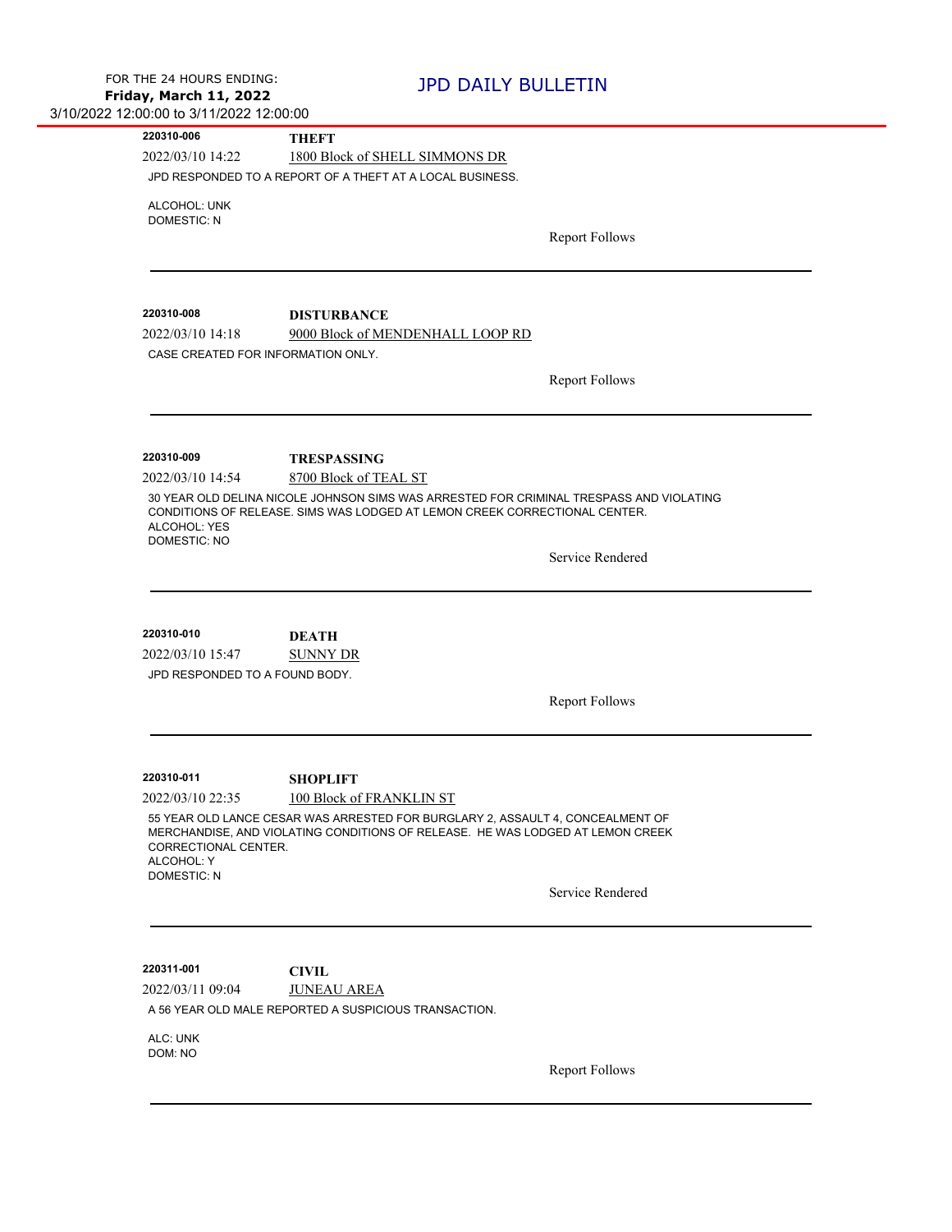| 220310-006                                                       | <b>THEFT</b>                                                                                                                                                          |  |
|------------------------------------------------------------------|-----------------------------------------------------------------------------------------------------------------------------------------------------------------------|--|
| 2022/03/10 14:22                                                 | 1800 Block of SHELL SIMMONS DR                                                                                                                                        |  |
|                                                                  | JPD RESPONDED TO A REPORT OF A THEFT AT A LOCAL BUSINESS.                                                                                                             |  |
| ALCOHOL: UNK                                                     |                                                                                                                                                                       |  |
| <b>DOMESTIC: N</b>                                               | <b>Report Follows</b>                                                                                                                                                 |  |
|                                                                  |                                                                                                                                                                       |  |
|                                                                  |                                                                                                                                                                       |  |
| 220310-008                                                       |                                                                                                                                                                       |  |
| 2022/03/10 14:18                                                 | <b>DISTURBANCE</b><br>9000 Block of MENDENHALL LOOP RD                                                                                                                |  |
| CASE CREATED FOR INFORMATION ONLY.                               |                                                                                                                                                                       |  |
|                                                                  |                                                                                                                                                                       |  |
|                                                                  | <b>Report Follows</b>                                                                                                                                                 |  |
|                                                                  |                                                                                                                                                                       |  |
| 220310-009                                                       | <b>TRESPASSING</b>                                                                                                                                                    |  |
| 2022/03/10 14:54                                                 | 8700 Block of TEAL ST                                                                                                                                                 |  |
| ALCOHOL: YES                                                     | 30 YEAR OLD DELINA NICOLE JOHNSON SIMS WAS ARRESTED FOR CRIMINAL TRESPASS AND VIOLATING<br>CONDITIONS OF RELEASE. SIMS WAS LODGED AT LEMON CREEK CORRECTIONAL CENTER. |  |
| <b>DOMESTIC: NO</b>                                              | Service Rendered                                                                                                                                                      |  |
|                                                                  |                                                                                                                                                                       |  |
|                                                                  |                                                                                                                                                                       |  |
| 220310-010<br>2022/03/10 15:47<br>JPD RESPONDED TO A FOUND BODY. | <b>DEATH</b><br><b>SUNNY DR</b>                                                                                                                                       |  |
|                                                                  | <b>Report Follows</b>                                                                                                                                                 |  |
|                                                                  |                                                                                                                                                                       |  |
| 220310-011                                                       | <b>SHOPLIFT</b>                                                                                                                                                       |  |
| 2022/03/10 22:35                                                 | 100 Block of FRANKLIN ST                                                                                                                                              |  |
| CORRECTIONAL CENTER.<br>ALCOHOL: Y                               | 55 YEAR OLD LANCE CESAR WAS ARRESTED FOR BURGLARY 2, ASSAULT 4, CONCEALMENT OF<br>MERCHANDISE, AND VIOLATING CONDITIONS OF RELEASE. HE WAS LODGED AT LEMON CREEK      |  |
| <b>DOMESTIC: N</b>                                               | Service Rendered                                                                                                                                                      |  |
|                                                                  |                                                                                                                                                                       |  |
| 220311-001                                                       | <b>CIVIL</b>                                                                                                                                                          |  |
| 2022/03/11 09:04                                                 | <b>JUNEAU AREA</b>                                                                                                                                                    |  |
|                                                                  | A 56 YEAR OLD MALE REPORTED A SUSPICIOUS TRANSACTION.                                                                                                                 |  |
| ALC: UNK<br>DOM: NO                                              |                                                                                                                                                                       |  |